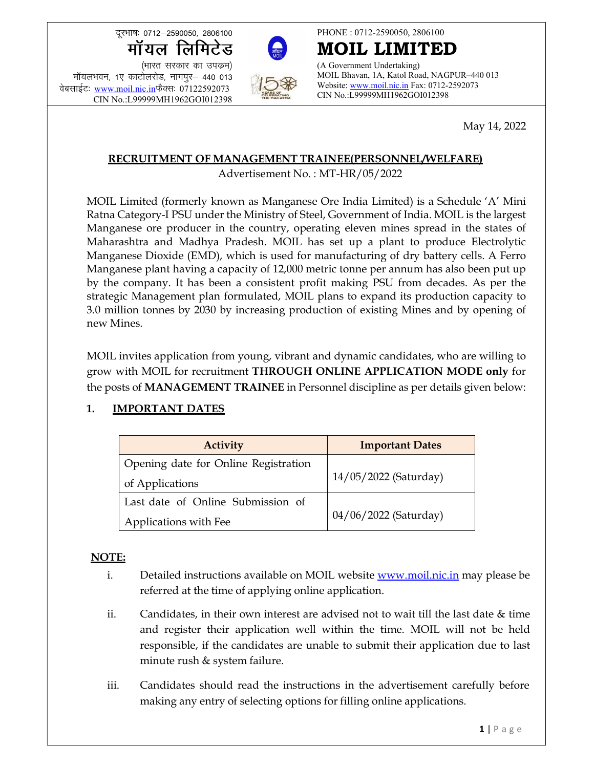दूरभाषः 0712-2590050, 2806100



**17712–2590050, 2806100**<br>
17712–2590050, 2806100<br>
17712–2590050, 2806100<br>
178713 (A Government U<br>
178713, TIPIS THE MOTH MOIL Bhavan, 1/12.178713<br>
179999MH1962GOI012398<br>
179999MH1962GOI012398<br>
179999MH1962GOI012398<br>
18999  $R$   $\vec{r}$   $\vec{r}$   $\vec{r}$   $\vec{r}$   $\vec{r}$   $\vec{r}$   $\vec{r}$   $\vec{r}$   $\vec{r}$   $\vec{r}$   $\vec{r}$   $\vec{r}$   $\vec{r}$   $\vec{r}$   $\vec{r}$   $\vec{r}$   $\vec{r}$   $\vec{r}$   $\vec{r}$   $\vec{r}$   $\vec{r}$   $\vec{r}$   $\vec{r}$   $\vec{r}$   $\vec{r}$   $\vec{r}$   $\vec{r}$  क्रूस्माषः 0712–2590050, 2806100<br> **मॉयल लिमिटेड**<br>
(भारत सरकार का उपक्रम)<br>मॉयलभवन, 1ए काटोलरोड, नागपुर– 440 013<br>वेबसाईटः www.moil.nic.in</u>फैक्सः 07122592073<br>
CIN No.:L99999MH1962GOI012398 CIN No.:L99999MH1962GOI012398



PHONE : 0712-2590050, 2806100

MOIL LIMITED (A Government Undertaking) MOIL Bhavan, 1A, Katol Road, NAGPUR–440 013 Website: www.moil.nic.in Fax: 0712-2592073 CIN No.:L99999MH1962GOI012398

May 14, 2022

#### RECRUITMENT OF MANAGEMENT TRAINEE(PERSONNEL/WELFARE)

Advertisement No. : MT-HR/05/2022

MOIL Limited (formerly known as Manganese Ore India Limited) is a Schedule 'A' Mini Ratna Category-I PSU under the Ministry of Steel, Government of India. MOIL is the largest Manganese ore producer in the country, operating eleven mines spread in the states of Maharashtra and Madhya Pradesh. MOIL has set up a plant to produce Electrolytic Manganese Dioxide (EMD), which is used for manufacturing of dry battery cells. A Ferro Manganese plant having a capacity of 12,000 metric tonne per annum has also been put up by the company. It has been a consistent profit making PSU from decades. As per the strategic Management plan formulated, MOIL plans to expand its production capacity to 3.0 million tonnes by 2030 by increasing production of existing Mines and by opening of new Mines.

MOIL invites application from young, vibrant and dynamic candidates, who are willing to grow with MOIL for recruitment THROUGH ONLINE APPLICATION MODE only for the posts of MANAGEMENT TRAINEE in Personnel discipline as per details given below:

# 1. **IMPORTANT DATES**

| <b>Activity</b>                      | <b>Important Dates</b> |  |
|--------------------------------------|------------------------|--|
| Opening date for Online Registration |                        |  |
| of Applications                      | 14/05/2022 (Saturday)  |  |
| Last date of Online Submission of    | 04/06/2022 (Saturday)  |  |
| Applications with Fee                |                        |  |

# NOTE:

- i. Detailed instructions available on MOIL website www.moil.nic.in may please be referred at the time of applying online application.
- ii. Candidates, in their own interest are advised not to wait till the last date & time and register their application well within the time. MOIL will not be held responsible, if the candidates are unable to submit their application due to last minute rush & system failure.
- iii. Candidates should read the instructions in the advertisement carefully before making any entry of selecting options for filling online applications.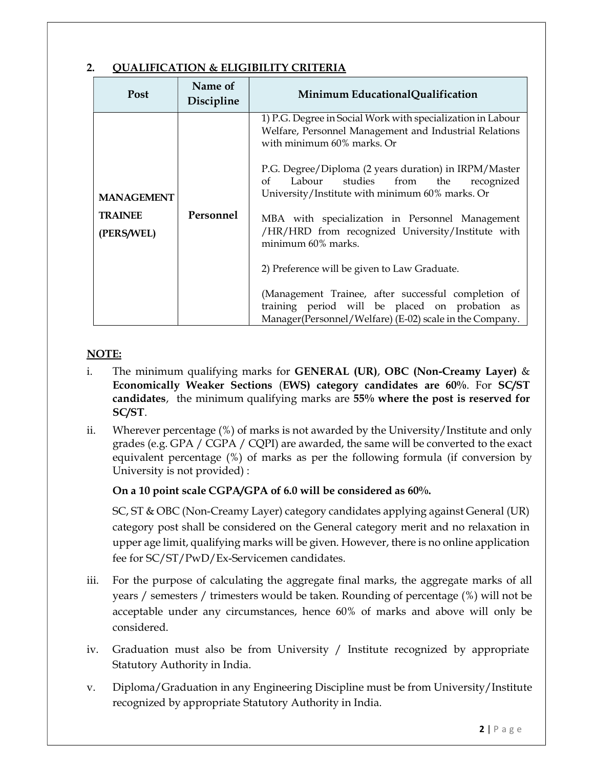# 2. QUALIFICATION & ELIGIBILITY CRITERIA

| <b>Post</b>                                       | Name of<br>Discipline | Minimum EducationalQualification                                                                                                                                                                                                                                                                                                                                                                                                                                                                                                                                                                                                                                         |
|---------------------------------------------------|-----------------------|--------------------------------------------------------------------------------------------------------------------------------------------------------------------------------------------------------------------------------------------------------------------------------------------------------------------------------------------------------------------------------------------------------------------------------------------------------------------------------------------------------------------------------------------------------------------------------------------------------------------------------------------------------------------------|
| <b>MANAGEMENT</b><br><b>TRAINEE</b><br>(PERS/WEL) | Personnel             | 1) P.G. Degree in Social Work with specialization in Labour<br>Welfare, Personnel Management and Industrial Relations<br>with minimum 60% marks. Or<br>P.G. Degree/Diploma (2 years duration) in IRPM/Master<br>Labour studies from the<br>recognized<br>$\alpha f$<br>University/Institute with minimum 60% marks. Or<br>MBA with specialization in Personnel Management<br>/HR/HRD from recognized University/Institute with<br>minimum 60% marks.<br>2) Preference will be given to Law Graduate.<br>(Management Trainee, after successful completion of<br>training period will be placed on probation as<br>Manager(Personnel/Welfare) (E-02) scale in the Company. |

#### NOTE:

- i. The minimum qualifying marks for **GENERAL (UR), OBC (Non-Creamy Layer)** & Economically Weaker Sections (EWS) category candidates are 60%. For SC/ST candidates, the minimum qualifying marks are 55% where the post is reserved for SC/ST.
- ii. Wherever percentage (%) of marks is not awarded by the University/Institute and only grades (e.g. GPA / CGPA / CQPI) are awarded, the same will be converted to the exact equivalent percentage (%) of marks as per the following formula (if conversion by University is not provided) :

#### On a 10 point scale CGPA/GPA of 6.0 will be considered as 60%.

SC, ST & OBC (Non-Creamy Layer) category candidates applying against General (UR) category post shall be considered on the General category merit and no relaxation in upper age limit, qualifying marks will be given. However, there is no online application fee for SC/ST/PwD/Ex-Servicemen candidates.

- iii. For the purpose of calculating the aggregate final marks, the aggregate marks of all years / semesters / trimesters would be taken. Rounding of percentage (%) will not be acceptable under any circumstances, hence 60% of marks and above will only be considered.
- iv. Graduation must also be from University / Institute recognized by appropriate Statutory Authority in India.
- v. Diploma/Graduation in any Engineering Discipline must be from University/Institute recognized by appropriate Statutory Authority in India.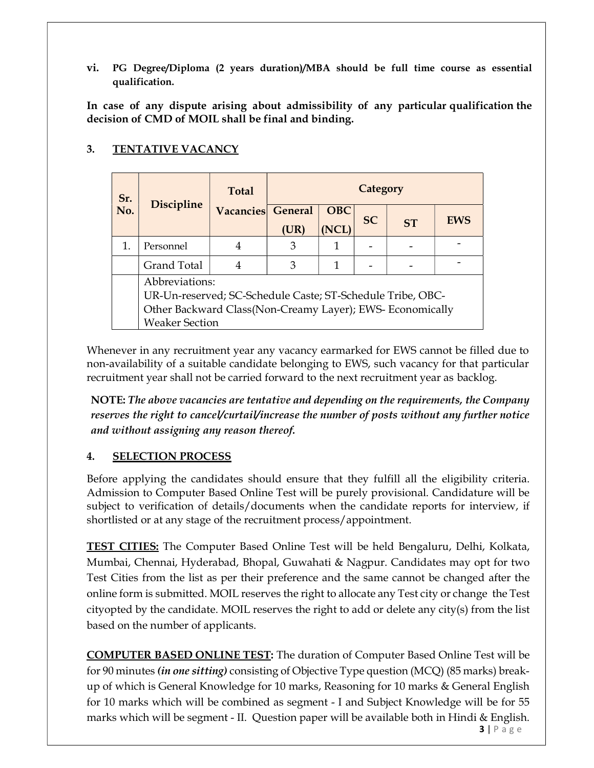vi. PG Degree/Diploma (2 years duration)/MBA should be full time course as essential qualification.

In case of any dispute arising about admissibility of any particular qualification the decision of CMD of MOIL shall be final and binding.

| Sr. | <b>Discipline</b>                                          | <b>Total</b>   | Category       |            |           |           |            |
|-----|------------------------------------------------------------|----------------|----------------|------------|-----------|-----------|------------|
| No. |                                                            | Vacancies      | <b>General</b> | <b>OBC</b> | <b>SC</b> | <b>ST</b> | <b>EWS</b> |
|     |                                                            |                | (UR)           | (NCL)      |           |           |            |
| 1.  | Personnel                                                  | 4              | 3              |            |           |           |            |
|     | Grand Total                                                | $\overline{4}$ | 3              |            |           |           |            |
|     | Abbreviations:                                             |                |                |            |           |           |            |
|     | UR-Un-reserved; SC-Schedule Caste; ST-Schedule Tribe, OBC- |                |                |            |           |           |            |
|     | Other Backward Class (Non-Creamy Layer); EWS- Economically |                |                |            |           |           |            |
|     | <b>Weaker Section</b>                                      |                |                |            |           |           |            |

# 3. TENTATIVE VACANCY

Whenever in any recruitment year any vacancy earmarked for EWS cannot be filled due to non-availability of a suitable candidate belonging to EWS, such vacancy for that particular recruitment year shall not be carried forward to the next recruitment year as backlog.

NOTE: The above vacancies are tentative and depending on the requirements, the Company reserves the right to cancel/curtail/increase the number of posts without any further notice and without assigning any reason thereof.

# 4. SELECTION PROCESS

Before applying the candidates should ensure that they fulfill all the eligibility criteria. Admission to Computer Based Online Test will be purely provisional. Candidature will be subject to verification of details/documents when the candidate reports for interview, if shortlisted or at any stage of the recruitment process/appointment.

TEST CITIES: The Computer Based Online Test will be held Bengaluru, Delhi, Kolkata, Mumbai, Chennai, Hyderabad, Bhopal, Guwahati & Nagpur. Candidates may opt for two Test Cities from the list as per their preference and the same cannot be changed after the online form is submitted. MOIL reserves the right to allocate any Test city or change the Test city opted by the candidate. MOIL reserves the right to add or delete any city(s) from the list based on the number of applicants.

COMPUTER BASED ONLINE TEST: The duration of Computer Based Online Test will be for 90 minutes (in one sitting) consisting of Objective Type question (MCQ) (85 marks) breakup of which is General Knowledge for 10 marks, Reasoning for 10 marks & General English for 10 marks which will be combined as segment - I and Subject Knowledge will be for 55 marks which will be segment - II. Question paper will be available both in Hindi & English.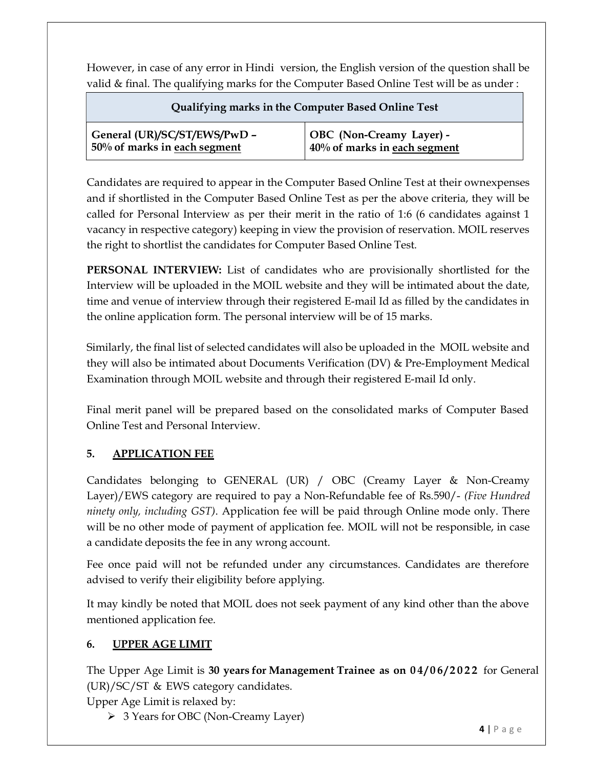However, in case of any error in Hindi version, the English version of the question shall be valid & final. The qualifying marks for the Computer Based Online Test will be as under :

| Qualifying marks in the Computer Based Online Test |                              |  |  |  |
|----------------------------------------------------|------------------------------|--|--|--|
| General (UR)/SC/ST/EWS/PwD -                       | OBC (Non-Creamy Layer) -     |  |  |  |
| 50% of marks in each segment                       | 40% of marks in each segment |  |  |  |

Candidates are required to appear in the Computer Based Online Test at their own expenses and if shortlisted in the Computer Based Online Test as per the above criteria, they will be called for Personal Interview as per their merit in the ratio of 1:6 (6 candidates against 1 vacancy in respective category) keeping in view the provision of reservation. MOIL reserves the right to shortlist the candidates for Computer Based Online Test.

PERSONAL INTERVIEW: List of candidates who are provisionally shortlisted for the Interview will be uploaded in the MOIL website and they will be intimated about the date, time and venue of interview through their registered E-mail Id as filled by the candidates in the online application form. The personal interview will be of 15 marks.

Similarly, the final list of selected candidates will also be uploaded in the MOIL website and they will also be intimated about Documents Verification (DV) & Pre-Employment Medical Examination through MOIL website and through their registered E-mail Id only.

Final merit panel will be prepared based on the consolidated marks of Computer Based Online Test and Personal Interview.

# 5. APPLICATION FEE

Candidates belonging to GENERAL (UR) / OBC (Creamy Layer & Non-Creamy Layer)/EWS category are required to pay a Non-Refundable fee of Rs.590/- (Five Hundred ninety only, including GST). Application fee will be paid through Online mode only. There will be no other mode of payment of application fee. MOIL will not be responsible, in case a candidate deposits the fee in any wrong account.

Fee once paid will not be refunded under any circumstances. Candidates are therefore advised to verify their eligibility before applying.

It may kindly be noted that MOIL does not seek payment of any kind other than the above mentioned application fee.

# 6. UPPER AGE LIMIT

The Upper Age Limit is 30 years for Management Trainee as on 04/06/2022 for General (UR)/SC/ST & EWS category candidates.

Upper Age Limit is relaxed by:

3 Years for OBC (Non-Creamy Layer)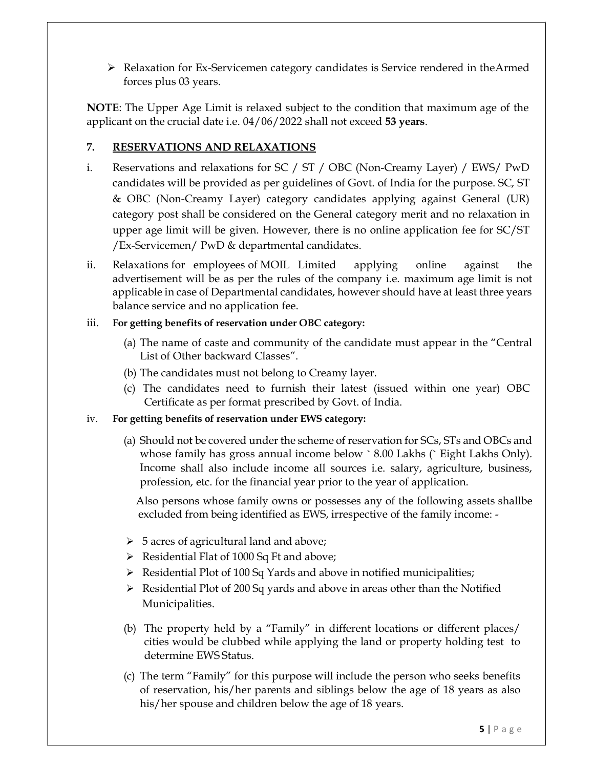$\triangleright$  Relaxation for Ex-Servicemen category candidates is Service rendered in the Armed forces plus 03 years.

NOTE: The Upper Age Limit is relaxed subject to the condition that maximum age of the applicant on the crucial date i.e. 04/06/2022 shall not exceed 53 years.

## 7. RESERVATIONS AND RELAXATIONS

- i. Reservations and relaxations for SC / ST / OBC (Non-Creamy Layer) / EWS/ PwD candidates will be provided as per guidelines of Govt. of India for the purpose. SC, ST & OBC (Non-Creamy Layer) category candidates applying against General (UR) category post shall be considered on the General category merit and no relaxation in upper age limit will be given. However, there is no online application fee for SC/ST /Ex-Servicemen/ PwD & departmental candidates.
- ii. Relaxations for employees of MOIL Limited applying online against the advertisement will be as per the rules of the company i.e. maximum age limit is not applicable in case of Departmental candidates, however should have at least three years balance service and no application fee.

#### iii. For getting benefits of reservation under OBC category:

- (a) The name of caste and community of the candidate must appear in the "Central List of Other backward Classes".
- (b) The candidates must not belong to Creamy layer.
- (c) The candidates need to furnish their latest (issued within one year) OBC Certificate as per format prescribed by Govt. of India.

#### iv. For getting benefits of reservation under EWS category:

(a) Should not be covered under the scheme of reservation for SCs, STs and OBCs and whose family has gross annual income below ` 8.00 Lakhs (` Eight Lakhs Only). Income shall also include income all sources i.e. salary, agriculture, business, profession, etc. for the financial year prior to the year of application.

Also persons whose family owns or possesses any of the following assets shallbe excluded from being identified as EWS, irrespective of the family income: -

- $\triangleright$  5 acres of agricultural land and above;
- $\triangleright$  Residential Flat of 1000 Sq Ft and above;
- $\triangleright$  Residential Plot of 100 Sq Yards and above in notified municipalities;
- $\triangleright$  Residential Plot of 200 Sq yards and above in areas other than the Notified Municipalities.
- (b) The property held by a "Family" in different locations or different places/ cities would be clubbed while applying the land or property holding test to determine EWS Status.
- (c) The term "Family" for this purpose will include the person who seeks benefits of reservation, his/her parents and siblings below the age of 18 years as also his/her spouse and children below the age of 18 years.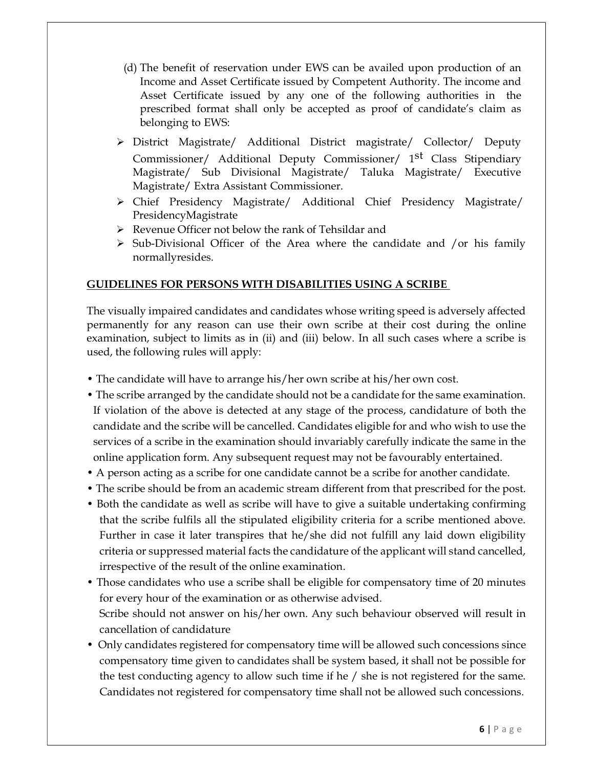- (d) The benefit of reservation under EWS can be availed upon production of an Income and Asset Certificate issued by Competent Authority. The income and Asset Certificate issued by any one of the following authorities in the prescribed format shall only be accepted as proof of candidate's claim as belonging to EWS:
- District Magistrate/ Additional District magistrate/ Collector/ Deputy Commissioner/ Additional Deputy Commissioner/ 1<sup>st</sup> Class Stipendiary Magistrate/ Sub Divisional Magistrate/ Taluka Magistrate/ Executive Magistrate/ Extra Assistant Commissioner.
- Chief Presidency Magistrate/ Additional Chief Presidency Magistrate/ Presidency Magistrate
- Revenue Officer not below the rank of Tehsildar and
- $\triangleright$  Sub-Divisional Officer of the Area where the candidate and /or his family normally resides.

#### GUIDELINES FOR PERSONS WITH DISABILITIES USING A SCRIBE

The visually impaired candidates and candidates whose writing speed is adversely affected permanently for any reason can use their own scribe at their cost during the online examination, subject to limits as in (ii) and (iii) below. In all such cases where a scribe is used, the following rules will apply:

- The candidate will have to arrange his/her own scribe at his/her own cost.
- The scribe arranged by the candidate should not be a candidate for the same examination. If violation of the above is detected at any stage of the process, candidature of both the candidate and the scribe will be cancelled. Candidates eligible for and who wish to use the services of a scribe in the examination should invariably carefully indicate the same in the online application form. Any subsequent request may not be favourably entertained.
- A person acting as a scribe for one candidate cannot be a scribe for another candidate.
- The scribe should be from an academic stream different from that prescribed for the post.
- Both the candidate as well as scribe will have to give a suitable undertaking confirming that the scribe fulfils all the stipulated eligibility criteria for a scribe mentioned above. Further in case it later transpires that he/she did not fulfill any laid down eligibility criteria or suppressed material facts the candidature of the applicant will stand cancelled, irrespective of the result of the online examination.
- Those candidates who use a scribe shall be eligible for compensatory time of 20 minutes for every hour of the examination or as otherwise advised. Scribe should not answer on his/her own. Any such behaviour observed will result in cancellation of candidature
- Only candidates registered for compensatory time will be allowed such concessions since compensatory time given to candidates shall be system based, it shall not be possible for the test conducting agency to allow such time if he / she is not registered for the same. Candidates not registered for compensatory time shall not be allowed such concessions.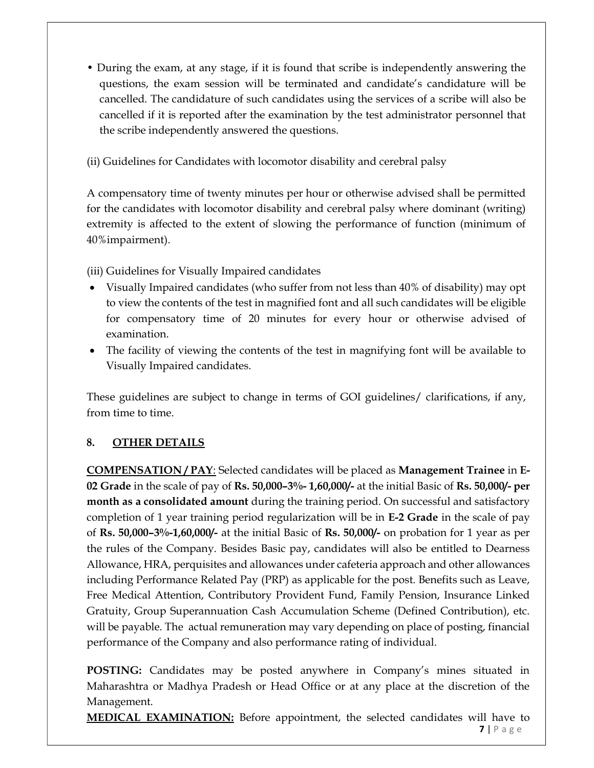• During the exam, at any stage, if it is found that scribe is independently answering the questions, the exam session will be terminated and candidate's candidature will be cancelled. The candidature of such candidates using the services of a scribe will also be cancelled if it is reported after the examination by the test administrator personnel that the scribe independently answered the questions.

(ii) Guidelines for Candidates with locomotor disability and cerebral palsy

A compensatory time of twenty minutes per hour or otherwise advised shall be permitted for the candidates with locomotor disability and cerebral palsy where dominant (writing) extremity is affected to the extent of slowing the performance of function (minimum of 40%impairment).

(iii) Guidelines for Visually Impaired candidates

- Visually Impaired candidates (who suffer from not less than 40% of disability) may opt to view the contents of the test in magnified font and all such candidates will be eligible for compensatory time of 20 minutes for every hour or otherwise advised of examination.
- The facility of viewing the contents of the test in magnifying font will be available to Visually Impaired candidates.

These guidelines are subject to change in terms of GOI guidelines/ clarifications, if any, from time to time.

# 8. OTHER DETAILS

COMPENSATION / PAY: Selected candidates will be placed as Management Trainee in E-02 Grade in the scale of pay of Rs. 50,000–3%- 1,60,000/- at the initial Basic of Rs. 50,000/- per month as a consolidated amount during the training period. On successful and satisfactory completion of 1 year training period regularization will be in E-2 Grade in the scale of pay of Rs. 50,000–3%-1,60,000/- at the initial Basic of Rs. 50,000/- on probation for 1 year as per the rules of the Company. Besides Basic pay, candidates will also be entitled to Dearness Allowance, HRA, perquisites and allowances under cafeteria approach and other allowances including Performance Related Pay (PRP) as applicable for the post. Benefits such as Leave, Free Medical Attention, Contributory Provident Fund, Family Pension, Insurance Linked Gratuity, Group Superannuation Cash Accumulation Scheme (Defined Contribution), etc. will be payable. The actual remuneration may vary depending on place of posting, financial performance of the Company and also performance rating of individual.

POSTING: Candidates may be posted anywhere in Company's mines situated in Maharashtra or Madhya Pradesh or Head Office or at any place at the discretion of the Management.

 $7 | P \text{ age}$ **MEDICAL EXAMINATION:** Before appointment, the selected candidates will have to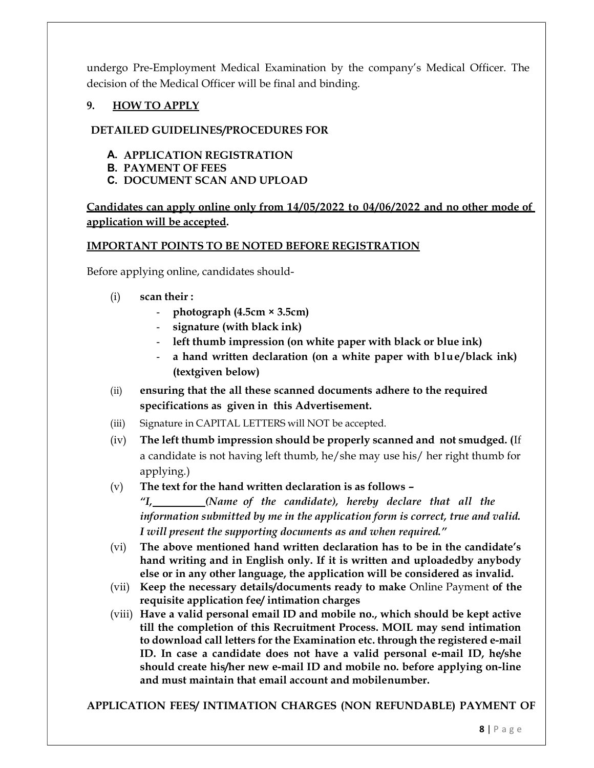undergo Pre-Employment Medical Examination by the company's Medical Officer. The decision of the Medical Officer will be final and binding.

## 9. HOW TO APPLY

#### DETAILED GUIDELINES/PROCEDURES FOR

- A. APPLICATION REGISTRATION
- B. PAYMENT OF FEES
- C. DOCUMENT SCAN AND UPLOAD

## Candidates can apply online only from 14/05/2022 to 04/06/2022 and no other modeof application will be accepted.

#### IMPORTANT POINTS TO BE NOTED BEFORE REGISTRATION

Before applying online, candidates should-

- (i) scan their :
	- $photography (4.5cm × 3.5cm)$
	- signature (with black ink)
	- left thumb impression (on white paper with black or blue ink)
	- a hand written declaration (on a white paper with blue/black ink) (textgiven below)
- (ii) ensuring that the all these scanned documents adhere to the required specifications as given in this Advertisement.
- (iii) Signature in CAPITAL LETTERS will NOT be accepted.
- (iv) The left thumb impression should be properly scanned and not smudged. (If a candidate is not having left thumb, he/she may use his/ her right thumb for applying.)

#### (v) The text for the hand written declaration is as follows –

"I, (Name of the candidate), hereby declare that all the information submitted by me in the application form is correct, true and valid. I will present the supporting documents as and when required."

- (vi) The above mentioned hand written declaration has to be in the candidate's hand writing and in English only. If it is written and uploaded by anybody else or in any other language, the application will be considered as invalid.
- (vii) Keep the necessary details/documents ready to make Online Payment of the requisite application fee/ intimation charges
- (viii) Have a valid personal email ID and mobile no., which should be kept active till the completion of this Recruitment Process. MOIL may send intimation to download call letters for the Examination etc. through the registered e-mail ID. In case a candidate does not have a valid personal e-mail ID, he/she should create his/her new e-mail ID and mobile no. before applying on-line and must maintain that email account and mobilenumber.

APPLICATION FEES/ INTIMATION CHARGES (NON REFUNDABLE) PAYMENT OF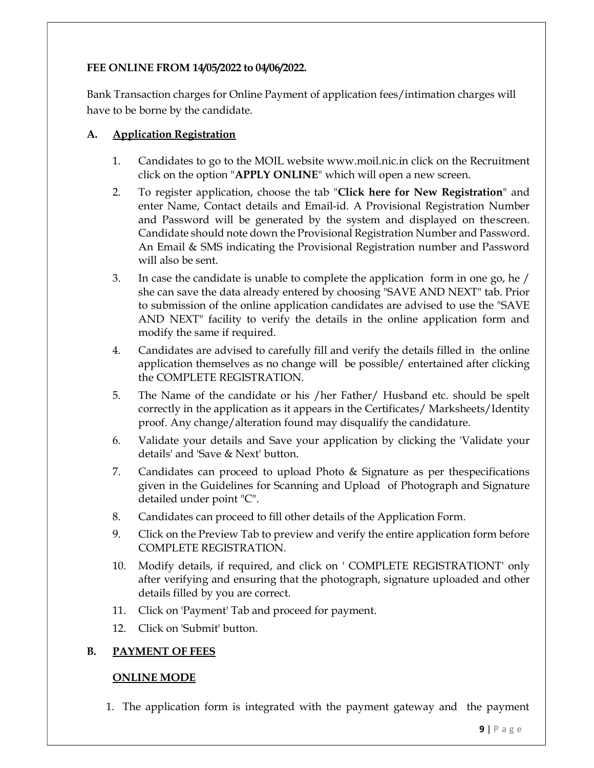#### FEE ONLINE FROM 14/05/2022 to 04/06/2022.

Bank Transaction charges for Online Payment of application fees/intimation charges will have to be borne by the candidate.

#### A. Application Registration

- 1. Candidates to go to the MOIL website www.moil.nic.in click on the Recruitment click on the option "APPLY ONLINE" which will open a new screen.
- 2. To register application, choose the tab "Click here for New Registration" and enter Name, Contact details and Email-id. A Provisional Registration Number and Password will be generated by the system and displayed on the screen. Candidate should note down the Provisional Registration Number and Password. An Email & SMS indicating the Provisional Registration number and Password will also be sent.
- 3. In case the candidate is unable to complete the application form in one go, he / she can save the data already entered by choosing "SAVE AND NEXT" tab. Prior to submission of the online application candidates are advised to use the "SAVE AND NEXT" facility to verify the details in the online application form and modify the same if required.
- 4. Candidates are advised to carefully fill and verify the details filled in the online application themselves as no change will be possible/ entertained after clicking the COMPLETE REGISTRATION.
- 5. The Name of the candidate or his /her Father/ Husband etc. should be spelt correctly in the application as it appears in the Certificates/Mark sheets/Identity proof. Any change/alteration found may disqualify the candidature.
- 6. Validate your details and Save your application by clicking the 'Validate your details' and 'Save & Next' button.
- 7. Candidates can proceed to upload Photo  $\&$  Signature as per the specifications given in the Guidelines for Scanning and Upload of Photograph and Signature detailed under point "C".
- 8. Candidates can proceed to fill other details of the Application Form.
- 9. Click on the Preview Tab to preview and verify the entire application form before COMPLETE REGISTRATION.
- 10. Modify details, if required, and click on ' COMPLETE REGISTRATIONT' only after verifying and ensuring that the photograph, signature uploaded and other details filled by you are correct.
- 11. Click on 'Payment' Tab and proceed for payment.
- 12. Click on 'Submit' button.

#### B. PAYMENT OF FEES

#### ONLINE MODE

1. The application form is integrated with the payment gateway and the payment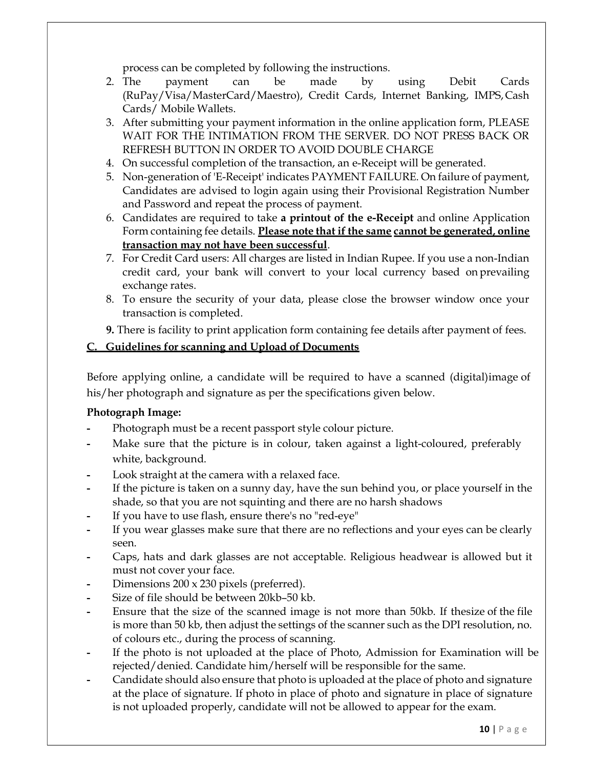process can be completed by following the instructions.

- 2. The payment can be made by using Debit Cards (RuPay/Visa/MasterCard/Maestro), Credit Cards, Internet Banking, IMPS, Cash Cards/ Mobile Wallets.
- 3. After submitting your payment information in the online application form, PLEASE WAIT FOR THE INTIMATION FROM THE SERVER. DO NOT PRESS BACK OR REFRESH BUTTON IN ORDER TO AVOID DOUBLE CHARGE
- 4. On successful completion of the transaction, an e-Receipt will be generated.
- 5. Non-generation of 'E-Receipt' indicates PAYMENT FAILURE. On failure of payment, Candidates are advised to login again using their Provisional Registration Number and Password and repeat the process of payment.
- 6. Candidates are required to take a printout of the e-Receipt and online Application Form containing fee details. Please note that if the same cannot be generated, online transaction may not have been successful.
- 7. For Credit Card users: All charges are listed in Indian Rupee. If you use a non-Indian credit card, your bank will convert to your local currency based on prevailing exchange rates.
- 8. To ensure the security of your data, please close the browser window once your transaction is completed.
- 9. There is facility to print application form containing fee details after payment of fees.

## C. Guidelines for scanning and Upload of Documents

Before applying online, a candidate will be required to have a scanned (digital) image of his/her photograph and signature as per the specifications given below.

#### Photograph Image:

- Photograph must be a recent passport style colour picture.
- Make sure that the picture is in colour, taken against a light-coloured, preferably white, background.
- Look straight at the camera with a relaxed face.
- If the picture is taken on a sunny day, have the sun behind you, or place yourself in the shade, so that you are not squinting and there are no harsh shadows
- If you have to use flash, ensure there's no "red-eye"
- If you wear glasses make sure that there are no reflections and your eyes can be clearly seen.
- Caps, hats and dark glasses are not acceptable. Religious headwear is allowed but it must not cover your face.
- Dimensions 200 x 230 pixels (preferred).
- Size of file should be between 20kb-50 kb.
- Ensure that the size of the scanned image is not more than 50kb. If the size of the file is more than 50 kb, then adjust the settings of the scanner such as the DPI resolution, no. of colours etc., during the process of scanning.
- If the photo is not uploaded at the place of Photo, Admission for Examination will be rejected/denied. Candidate him/herself will be responsible for the same.
- Candidate should also ensure that photo is uploaded at the place of photo and signature at the place of signature. If photo in place of photo and signature in place of signature is not uploaded properly, candidate will not be allowed to appear for the exam.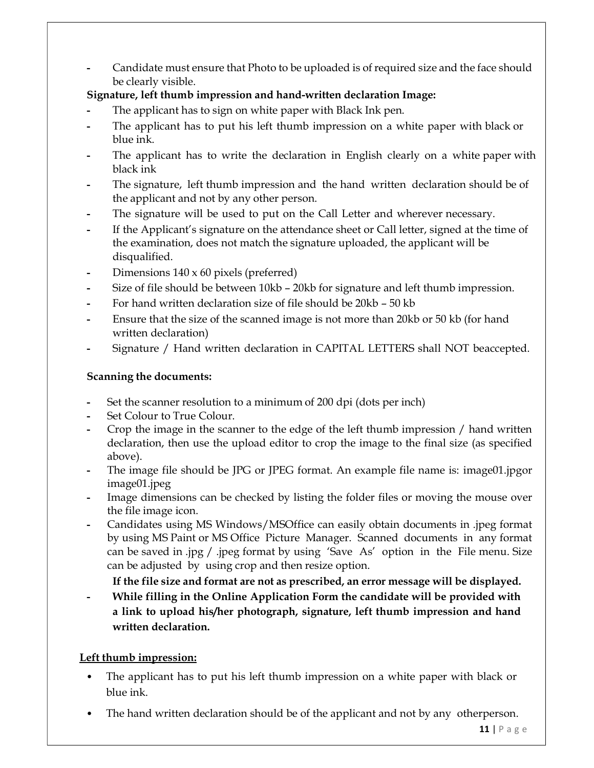Candidate must ensure that Photo to be uploaded is of required size and the face should be clearly visible.

# Signature, left thumb impression and hand-written declaration Image:

- The applicant has to sign on white paper with Black Ink pen.
- The applicant has to put his left thumb impression on a white paper with black or blue ink.
- The applicant has to write the declaration in English clearly on a white paper with black ink
- The signature, left thumb impression and the hand written declaration should be of the applicant and not by any other person.
- The signature will be used to put on the Call Letter and wherever necessary.
- If the Applicant's signature on the attendance sheet or Call letter, signed at the time of the examination, does not match the signature uploaded, the applicant will be disqualified.
- Dimensions 140 x 60 pixels (preferred)
- Size of file should be between 10kb 20kb for signature and left thumb impression.
- For hand written declaration size of file should be 20kb 50 kb
- Ensure that the size of the scanned image is not more than 20kb or 50 kb (for hand written declaration)
- Signature / Hand written declaration in CAPITAL LETTERS shall NOT be accepted.

# Scanning the documents:

- Set the scanner resolution to a minimum of 200 dpi (dots per inch)
- Set Colour to True Colour.
- Crop the image in the scanner to the edge of the left thumb impression / hand written declaration, then use the upload editor to crop the image to the final size (as specified above).
- The image file should be JPG or JPEG format. An example file name is: image01.jpg or image01.jpeg
- Image dimensions can be checked by listing the folder files or moving the mouse over the file image icon.
- Candidates using MS Windows/MSOffice can easily obtain documents in .jpeg format by using MS Paint or MS Office Picture Manager. Scanned documents in any format can be saved in .jpg / .jpeg format by using 'Save As' option in the File menu. Size can be adjusted by using crop and then resize option.

# If the file size and format are not as prescribed, an error message will be displayed.

While filling in the Online Application Form the candidate will be provided with a link to upload his/her photograph, signature, left thumb impression and hand written declaration.

# Left thumb impression:

- The applicant has to put his left thumb impression on a white paper with black or blue ink.
- The hand written declaration should be of the applicant and not by any other person.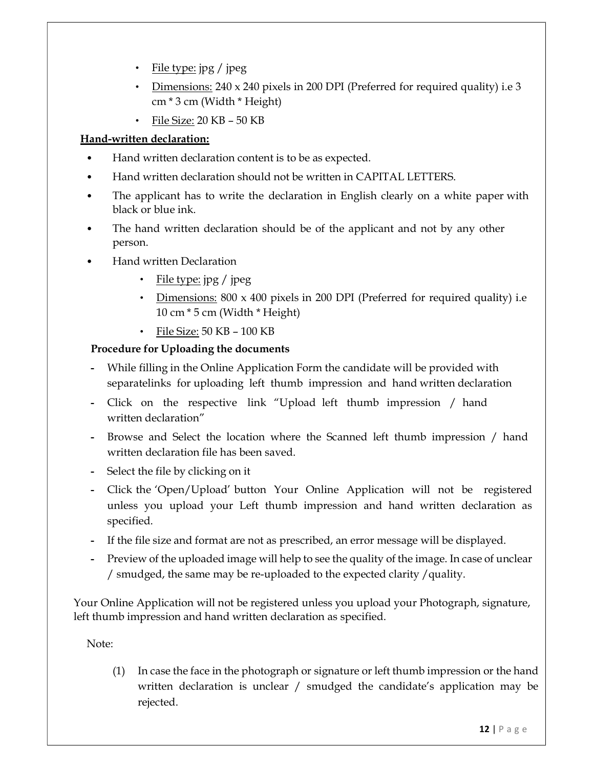- File type: jpg / jpeg
- Dimensions:  $240 \times 240$  pixels in 200 DPI (Preferred for required quality) i.e 3 cm \* 3 cm (Width \* Height)
- File Size: 20 KB 50 KB

## Hand-written declaration:

- Hand written declaration content is to be as expected.
- Hand written declaration should not be written in CAPITAL LETTERS.
- The applicant has to write the declaration in English clearly on a white paper with black or blue ink.
- The hand written declaration should be of the applicant and not by any other person.
- Hand written Declaration
	- File type: jpg / jpeg
	- Dimensions: 800 x 400 pixels in 200 DPI (Preferred for required quality) i.e 10 cm \* 5 cm (Width \* Height)
	- File Size: 50 KB 100 KB

## Procedure for Uploading the documents

- While filling in the Online Application Form the candidate will be provided with separatelinks for uploading left thumb impression and hand written declaration
- Click on the respective link "Upload left thumb impression / hand written declaration"
- Browse and Select the location where the Scanned left thumb impression / hand written declaration file has been saved.
- Select the file by clicking on it
- Click the 'Open/Upload' button Your Online Application will not be registered unless you upload your Left thumb impression and hand written declaration as specified.
- If the file size and format are not as prescribed, an error message will be displayed.
- Preview of the uploaded image will help to see the quality of the image. In case of unclear / smudged, the same may be re-uploaded to the expected clarity /quality.

Your Online Application will not be registered unless you upload your Photograph, signature, left thumb impression and hand written declaration as specified.

Note:

(1) In case the face in the photograph or signature or left thumb impression or the hand written declaration is unclear / smudged the candidate's application may be rejected.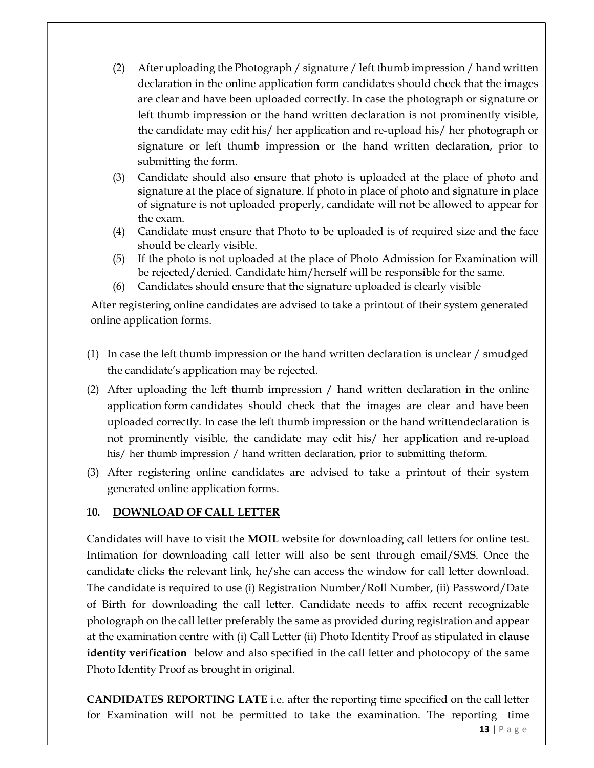- (2) After uploading the Photograph / signature / left thumb impression / hand written declaration in the online application form candidates should check that the images are clear and have been uploaded correctly. In case the photograph or signature or left thumb impression or the hand written declaration is not prominently visible, the candidate may edit his/ her application and re-upload his/ her photograph or signature or left thumb impression or the hand written declaration, prior to submitting the form.
- (3) Candidate should also ensure that photo is uploaded at the place of photo and signature at the place of signature. If photo in place of photo and signature in place of signature is not uploaded properly, candidate will not be allowed to appear for the exam.
- (4) Candidate must ensure that Photo to be uploaded is of required size and the face should be clearly visible.
- (5) If the photo is not uploaded at the place of Photo Admission for Examination will be rejected/denied. Candidate him/herself will be responsible for the same.
- (6) Candidates should ensure that the signature uploaded is clearly visible

After registering online candidates are advised to take a printout of their system generated online application forms.

- (1) In case the left thumb impression or the hand written declaration is unclear / smudged the candidate's application may be rejected.
- (2) After uploading the left thumb impression / hand written declaration in the online application form candidates should check that the images are clear and have been uploaded correctly. In case the left thumb impression or the hand written declaration is not prominently visible, the candidate may edit his/ her application and re-upload his/ her thumb impression / hand written declaration, prior to submitting the form.
- (3) After registering online candidates are advised to take a printout of their system generated online application forms.

# 10. DOWNLOAD OF CALL LETTER

Candidates will have to visit the MOIL website for downloading call letters for online test. Intimation for downloading call letter will also be sent through email/SMS. Once the candidate clicks the relevant link, he/she can access the window for call letter download. The candidate is required to use (i) Registration Number/Roll Number, (ii) Password/Date of Birth for downloading the call letter. Candidate needs to affix recent recognizable photograph on the call letter preferably the same as provided during registration and appear at the examination centre with (i) Call Letter (ii) Photo Identity Proof as stipulated in clause identity verification below and also specified in the call letter and photocopy of the same Photo Identity Proof as brought in original.

13 | P a g e CANDIDATES REPORTING LATE i.e. after the reporting time specified on the call letter for Examination will not be permitted to take the examination. The reporting time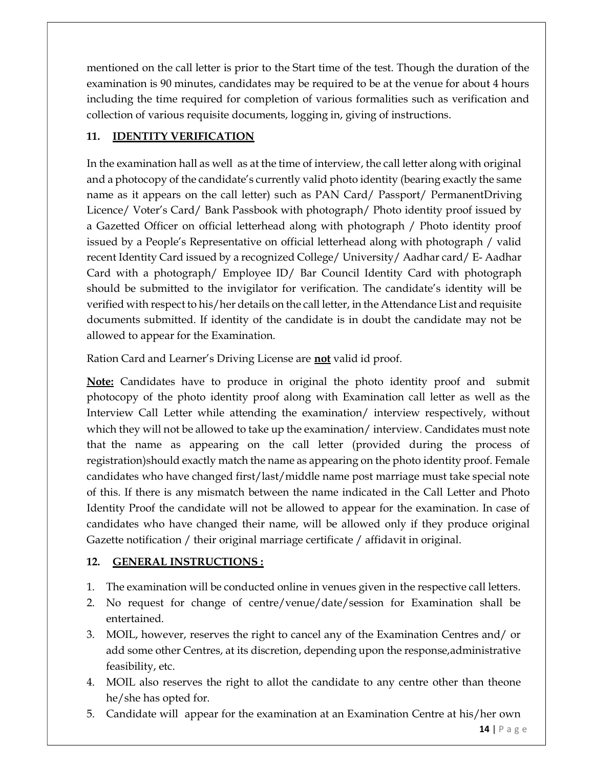mentioned on the call letter is prior to the Start time of the test. Though the duration of the examination is 90 minutes, candidates may be required to be at the venue for about 4 hours including the time required for completion of various formalities such as verification and collection of various requisite documents, logging in, giving of instructions.

# 11. **IDENTITY VERIFICATION**

In the examination hall as well as at the time of interview, the call letter along with original and a photocopy of the candidate's currently valid photo identity (bearing exactly the same name as it appears on the call letter) such as PAN Card/ Passport/ Permanent Driving Licence/ Voter's Card/ Bank Passbook with photograph/ Photo identity proof issued by a Gazetted Officer on official letterhead along with photograph / Photo identity proof issued by a People's Representative on official letterhead along with photograph / valid recent Identity Card issued by a recognized College/ University/ Aadhar card/ E- Aadhar Card with a photograph/ Employee ID/ Bar Council Identity Card with photograph should be submitted to the invigilator for verification. The candidate's identity will be verified with respect to his/her details on the call letter, in the Attendance List and requisite documents submitted. If identity of the candidate is in doubt the candidate may not be allowed to appear for the Examination.

Ration Card and Learner's Driving License are **not** valid id proof.

**Note:** Candidates have to produce in original the photo identity proof and submit photocopy of the photo identity proof along with Examination call letter as well as the Interview Call Letter while attending the examination/ interview respectively, without which they will not be allowed to take up the examination/ interview. Candidates must note that the name as appearing on the call letter (provided during the process of registration) should exactly match the name as appearing on the photo identity proof. Female candidates who have changed first/last/middle name post marriage must take special note of this. If there is any mismatch between the name indicated in the Call Letter and Photo Identity Proof the candidate will not be allowed to appear for the examination. In case of candidates who have changed their name, will be allowed only if they produce original Gazette notification / their original marriage certificate / affidavit in original.

# 12. GENERAL INSTRUCTIONS :

- 1. The examination will be conducted online in venues given in the respective call letters.
- 2. No request for change of centre/venue/date/session for Examination shall be entertained.
- 3. MOIL, however, reserves the right to cancel any of the Examination Centres and/ or add some other Centres, at its discretion, depending upon the response, administrative feasibility, etc.
- 4. MOIL also reserves the right to allot the candidate to any centre other than the one he/she has opted for.
- 5. Candidate will appear for the examination at an Examination Centre at his/her own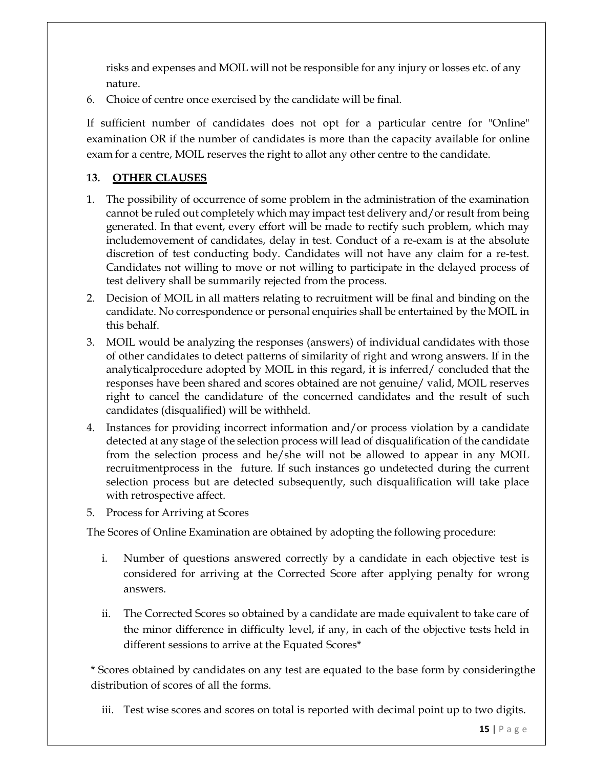risks and expenses and MOIL will not be responsible for any injury or losses etc. of any nature.

6. Choice of centre once exercised by the candidate will be final.

If sufficient number of candidates does not opt for a particular centre for "Online" examination OR if the number of candidates is more than the capacity available for online exam for a centre, MOIL reserves the right to allot any other centre to the candidate.

## 13. OTHER CLAUSES

- 1. The possibility of occurrence of some problem in the administration of the examination cannot be ruled out completely which may impact test delivery and/or result from being generated. In that event, every effort will be made to rectify such problem, which may include movement of candidates, delay in test. Conduct of a re-exam is at the absolute discretion of test conducting body. Candidates will not have any claim for a re-test. Candidates not willing to move or not willing to participate in the delayed process of test delivery shall be summarily rejected from the process.
- 2. Decision of MOIL in all matters relating to recruitment will be final and binding on the candidate. No correspondence or personal enquiries shall be entertained by the MOIL in this behalf.
- 3. MOIL would be analyzing the responses (answers) of individual candidates with those of other candidates to detect patterns of similarity of right and wrong answers. If in the analytical procedure adopted by MOIL in this regard, it is inferred/ concluded that the responses have been shared and scores obtained are not genuine/ valid, MOIL reserves right to cancel the candidature of the concerned candidates and the result of such candidates (disqualified) will be withheld.
- 4. Instances for providing incorrect information and/or process violation by a candidate detected at any stage of the selection process will lead of disqualification of the candidate from the selection process and he/she will not be allowed to appear in any MOIL recruitment process in the future. If such instances go undetected during the current selection process but are detected subsequently, such disqualification will take place with retrospective affect.
- 5. Process for Arriving at Scores

The Scores of Online Examination are obtained by adopting the following procedure:

- i. Number of questions answered correctly by a candidate in each objective test is considered for arriving at the Corrected Score after applying penalty for wrong answers.
- ii. The Corrected Scores so obtained by a candidate are made equivalent to take care of the minor difference in difficulty level, if any, in each of the objective tests held in different sessions to arrive at the Equated Scores\*

\* Scores obtained by candidates on any test are equated to the base form by considering the distribution of scores of all the forms.

iii. Test wise scores and scores on total is reported with decimal point up to two digits.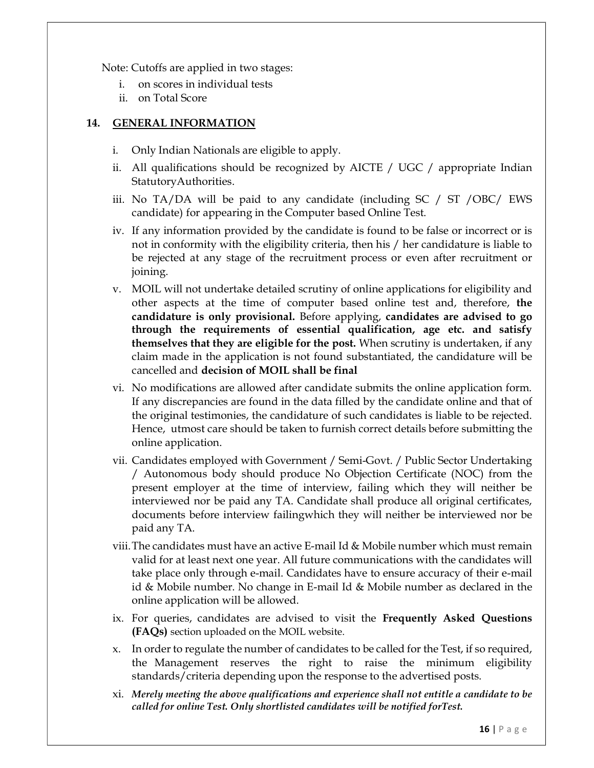Note: Cutoffs are applied in two stages:

- i. on scores in individual tests
- ii. on Total Score

#### 14. GENERAL INFORMATION

- i. Only Indian Nationals are eligible to apply.
- ii. All qualifications should be recognized by AICTE / UGC / appropriate Indian Statutory Authorities.
- iii. No TA/DA will be paid to any candidate (including SC / ST /OBC/ EWS candidate) for appearing in the Computer based Online Test.
- iv. If any information provided by the candidate is found to be false or incorrect or is not in conformity with the eligibility criteria, then his / her candidature is liable to be rejected at any stage of the recruitment process or even after recruitment or joining.
- v. MOIL will not undertake detailed scrutiny of online applications for eligibility and other aspects at the time of computer based online test and, therefore, the candidature is only provisional. Before applying, candidates are advised to go through the requirements of essential qualification, age etc. and satisfy themselves that they are eligible for the post. When scrutiny is undertaken, if any claim made in the application is not found substantiated, the candidature will be cancelled and decision of MOIL shall be final
- vi. No modifications are allowed after candidate submits the online application form. If any discrepancies are found in the data filled by the candidate online and that of the original testimonies, the candidature of such candidates is liable to be rejected. Hence, utmost care should be taken to furnish correct details before submitting the online application.
- vii. Candidates employed with Government / Semi-Govt. / Public Sector Undertaking / Autonomous body should produce No Objection Certificate (NOC) from the present employer at the time of interview, failing which they will neither be interviewed nor be paid any TA. Candidate shall produce all original certificates, documents before interview failing which they will neither be interviewed nor be paid any TA.
- viii.The candidates must have an active E-mail Id & Mobile number which must remain valid for at least next one year. All future communications with the candidates will take place only through e-mail. Candidates have to ensure accuracy of their e-mail id & Mobile number. No change in E-mail Id & Mobile number as declared in the online application will be allowed.
- ix. For queries, candidates are advised to visit the Frequently Asked Questions (FAQs) section uploaded on the MOIL website.
- x. In order to regulate the number of candidates to be called for the Test, if so required, the Management reserves the right to raise the minimum eligibility standards/criteria depending upon the response to the advertised posts.
- xi. Merely meeting the above qualifications and experience shall not entitle a candidate to be called for online Test. Only shortlisted candidates will be notified for Test.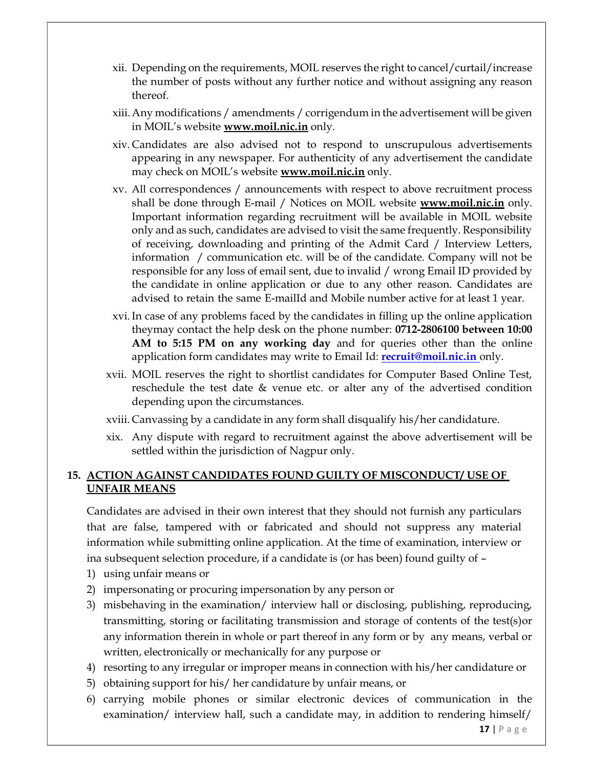- xii. Depending on the requirements, MOIL reserves the right to cancel/curtail/increase the number of posts without any further notice and without assigning any reason thereof.
- xiii.Any modifications / amendments / corrigendum in the advertisement will be given in MOIL's website **www.moil.nic.in** only.
- xiv. Candidates are also advised not to respond to unscrupulous advertisements appearing in any newspaper. For authenticity of any advertisement the candidate may check on MOIL's website **www.moil.nic.in** only.
- xv. All correspondences / announcements with respect to above recruitment process shall be done through E-mail / Notices on MOIL website  $www.moi l.nic.in$  only. Important information regarding recruitment will be available in MOIL website only and as such, candidates are advised to visit the same frequently. Responsibility of receiving, downloading and printing of the Admit Card / Interview Letters, information / communication etc. will be of the candidate. Company will not be responsible for any loss of email sent, due to invalid / wrong Email ID provided by the candidate in online application or due to any other reason. Candidates are advised to retain the same E-mailld and Mobile number active for at least 1 year.
- xvi.In case of any problems faced by the candidates in filling up the online application they may contact the help desk on the phone number: 0712-2806100 between 10:00 AM to 5:15 PM on any working day and for queries other than the online application form candidates may write to Email Id: **recruit@moil.nic.in** only.
- xvii. MOIL reserves the right to shortlist candidates for Computer Based Online Test, reschedule the test date & venue etc. or alter any of the advertised condition depending upon the circumstances.
- xviii. Canvassing by a candidate in any form shall disqualify his/her candidature.
- xix. Any dispute with regard to recruitment against the above advertisement will be settled within the jurisdiction of Nagpur only.

#### 15. ACTION AGAINST CANDIDATES FOUND GUILTY OF MISCONDUCT/ USE OF UNFAIR MEANS

Candidates are advised in their own interest that they should not furnish any particulars that are false, tampered with or fabricated and should not suppress any material information while submitting online application. At the time of examination, interview or ina subsequent selection procedure, if a candidate is (or has been) found guilty of  $-$ 

- 1) using unfair means or
- 2) impersonating or procuring impersonation by any person or
- 3) misbehaving in the examination/ interview hall or disclosing, publishing, reproducing, transmitting, storing or facilitating transmission and storage of contents of the test(s) or any information therein in whole or part thereof in any form or by any means, verbal or written, electronically or mechanically for any purpose or
- 4) resorting to any irregular or improper means in connection with his/her candidature or
- 5) obtaining support for his/ her candidature by unfair means, or
- 6) carrying mobile phones or similar electronic devices of communication in the examination/ interview hall, such a candidate may, in addition to rendering himself/